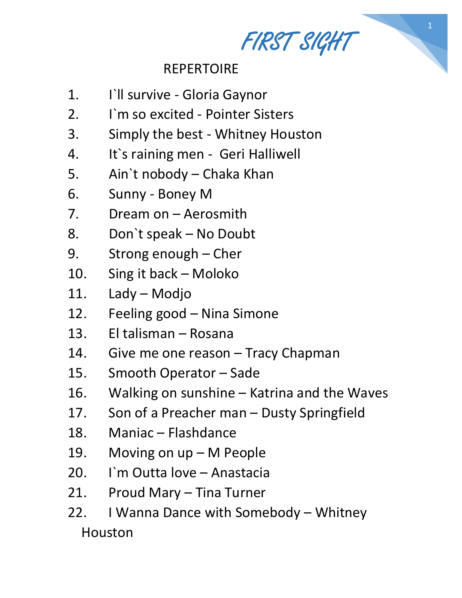FIRST SIGHT

1

## REPERTOIRE

- 1. I`ll survive Gloria Gaynor
- 2. I`m so excited Pointer Sisters
- 3. Simply the best Whitney Houston
- 4. It`s raining men Geri Halliwell
- 5. Ain`t nobody Chaka Khan
- 6. Sunny Boney M
- 7. Dream on Aerosmith
- 8. Don`t speak No Doubt
- 9. Strong enough Cher
- 10. Sing it back Moloko
- 11. Lady Modjo
- 12. Feeling good Nina Simone
- 13. El talisman Rosana
- 14. Give me one reason Tracy Chapman
- 15. Smooth Operator Sade
- 16. Walking on sunshine Katrina and the Waves
- 17. Son of a Preacher man Dusty Springfield
- 18. Maniac Flashdance
- 19. Moving on up M People
- 20. I`m Outta love Anastacia
- 21. Proud Mary Tina Turner
- 22. I Wanna Dance with Somebody Whitney Houston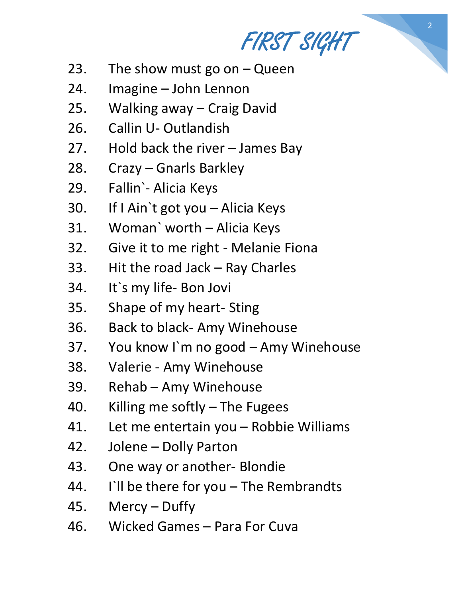FIRST SIGHT

- 23. The show must go on  $-$  Queen
- 24. Imagine John Lennon
- 25. Walking away Craig David
- 26. Callin U- Outlandish
- 27. Hold back the river James Bay
- 28. Crazy Gnarls Barkley
- 29. Fallin`- Alicia Keys
- 30. If I Ain`t got you Alicia Keys
- 31. Woman` worth Alicia Keys
- 32. Give it to me right Melanie Fiona
- 33. Hit the road Jack Ray Charles
- 34. It`s my life- Bon Jovi
- 35. Shape of my heart- Sting
- 36. Back to black- Amy Winehouse
- 37. You know I`m no good Amy Winehouse
- 38. Valerie Amy Winehouse
- 39. Rehab Amy Winehouse
- 40. Killing me softly The Fugees
- 41. Let me entertain you Robbie Williams
- 42. Jolene Dolly Parton
- 43. One way or another- Blondie
- 44. I`ll be there for you The Rembrandts
- 45. Mercy Duffy
- 46. Wicked Games Para For Cuva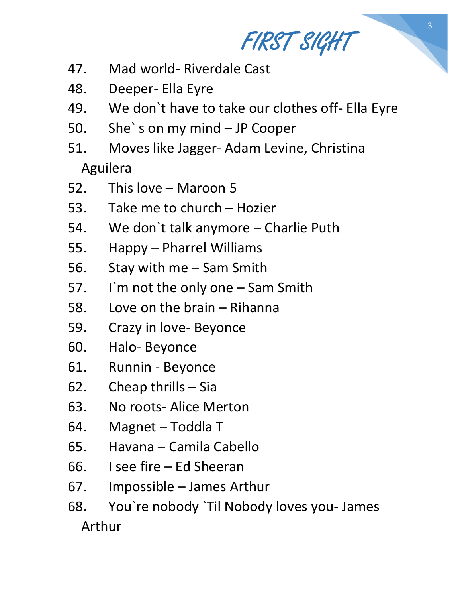FIRST SIGHT

3

- 47. Mad world- Riverdale Cast
- 48. Deeper- Ella Eyre
- 49. We don`t have to take our clothes off- Ella Eyre
- 50. She` s on my mind JP Cooper
- 51. Moves like Jagger- Adam Levine, Christina Aguilera
- 52. This love Maroon 5
- 53. Take me to church Hozier
- 54. We don`t talk anymore Charlie Puth
- 55. Happy Pharrel Williams
- 56. Stay with me Sam Smith
- 57. I`m not the only one Sam Smith
- 58. Love on the brain Rihanna
- 59. Crazy in love- Beyonce
- 60. Halo- Beyonce
- 61. Runnin Beyonce
- 62. Cheap thrills Sia
- 63. No roots- Alice Merton
- 64. Magnet Toddla T
- 65. Havana Camila Cabello
- 66. I see fire Ed Sheeran
- 67. Impossible James Arthur
- 68. You`re nobody `Til Nobody loves you- James Arthur